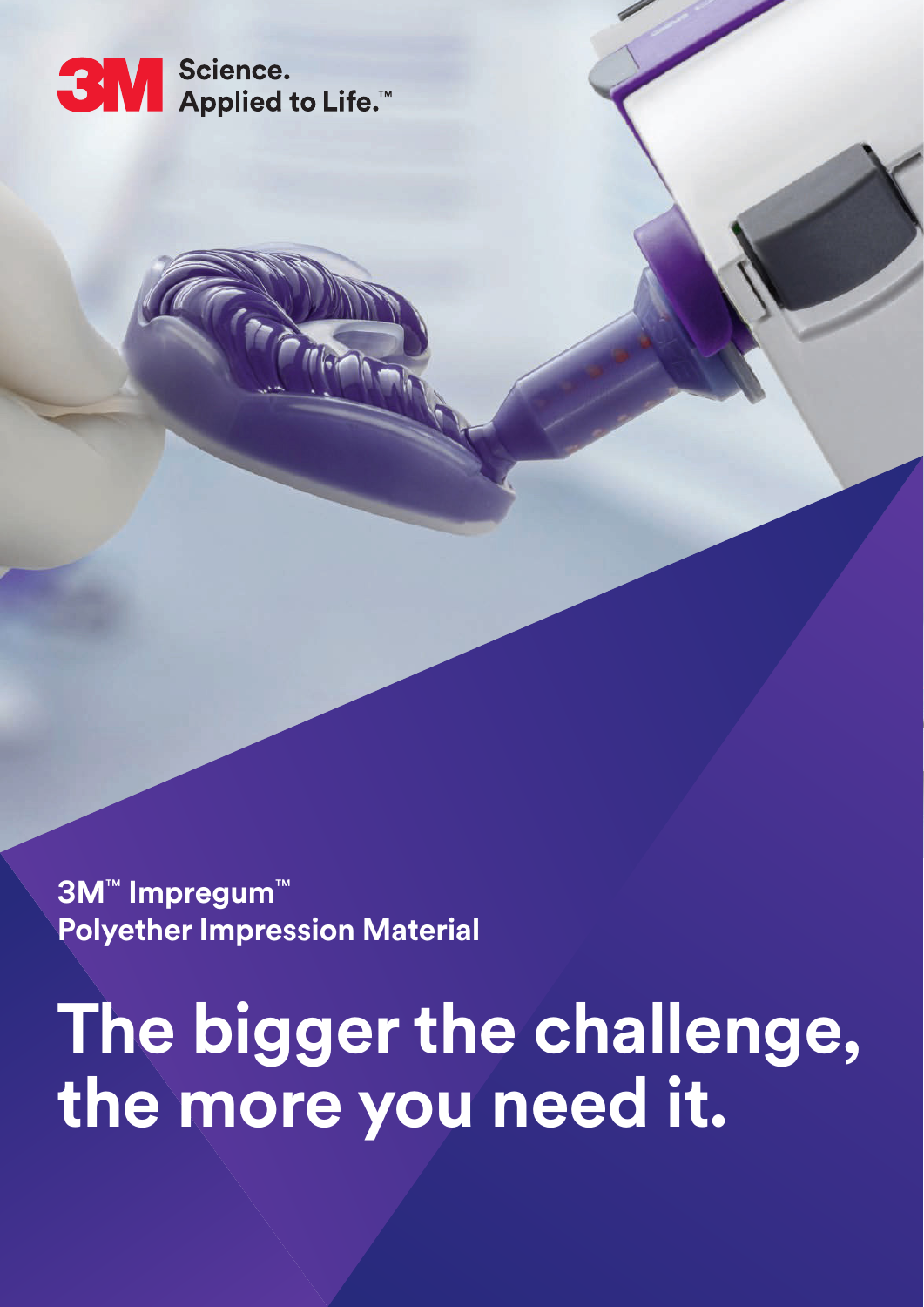

mlsk

**3M**™ **Impregum**™ **Polyether Impression Material**

**The bigger the challenge, the more you need it.**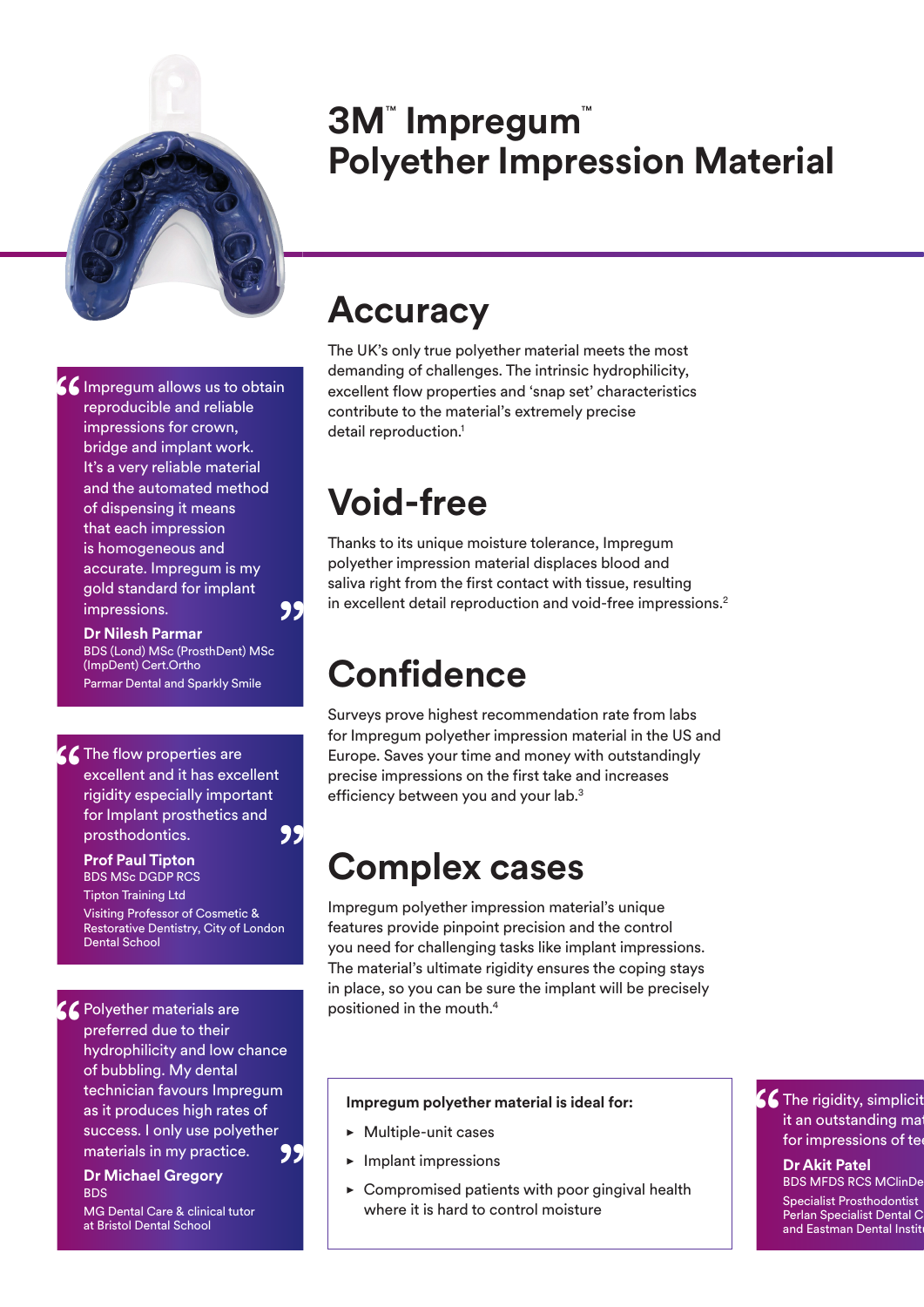

### **3M**™  **Impregum**™ **Polyether Impression Material**

**6 Impregum allows us to obtain<br>reproducible and reliable<br>impressions for crown,** reproducible and reliable impressions for crown, bridge and implant work. It's a very reliable material and the automated method of dispensing it means that each impression is homogeneous and accurate. Impregum is my gold standard for implant impressions. "

> **Dr Nilesh Parmar** BDS (Lond) MSc (ProsthDent) MSc (ImpDent) Cert.Ortho Parmar Dental and Sparkly Smile

C The flow properties are<br>
excellent and it has exce<br>
rigidity especially impor excellent and it has excellent rigidity especially important for Implant prosthetics and prosthodontics. ,,

#### **Prof Paul Tipton**

BDS MSc DGDP RCS Tipton Training Ltd Visiting Professor of Cosmetic & Restorative Dentistry, City of London Dental School

SC Polyether materials are<br>
preferred due to their<br>
hydrophilicity and low<br>
of bubblis a Municipal preferred due to their

hydrophilicity and low chance of bubbling. My dental technician favours Impregum as it produces high rates of success. I only use polyether materials in my practice. "

#### **Dr Michael Gregory** BDS

MG Dental Care & clinical tutor at Bristol Dental School

### **Accuracy**

The UK's only true polyether material meets the most demanding of challenges. The intrinsic hydrophilicity, excellent flow properties and 'snap set' characteristics contribute to the material's extremely precise detail reproduction.<sup>1</sup>

# **Void-free**

Thanks to its unique moisture tolerance, Impregum polyether impression material displaces blood and saliva right from the first contact with tissue, resulting in excellent detail reproduction and void-free impressions.<sup>2</sup>

# **Confidence**

Surveys prove highest recommendation rate from labs for Impregum polyether impression material in the US and Europe. Saves your time and money with outstandingly precise impressions on the first take and increases efficiency between you and your lab.<sup>3</sup>

# **Complex cases**

Impregum polyether impression material's unique features provide pinpoint precision and the control you need for challenging tasks like implant impressions. The material's ultimate rigidity ensures the coping stays in place, so you can be sure the implant will be precisely positioned in the mouth.4

### **Impregum polyether material is ideal for:**

- Multiple-unit cases
- Implant impressions
- $\triangleright$  Compromised patients with poor gingival health where it is hard to control moisture

Complicity, simplicity it an outstanding mate<br>for impressions of tea it an outstanding ma for impressions of te

#### **Dr Akit Patel BDS MFDS RCS MClinDe**

Specialist Prosthodontist Perlan Specialist Dental C and Eastman Dental Instit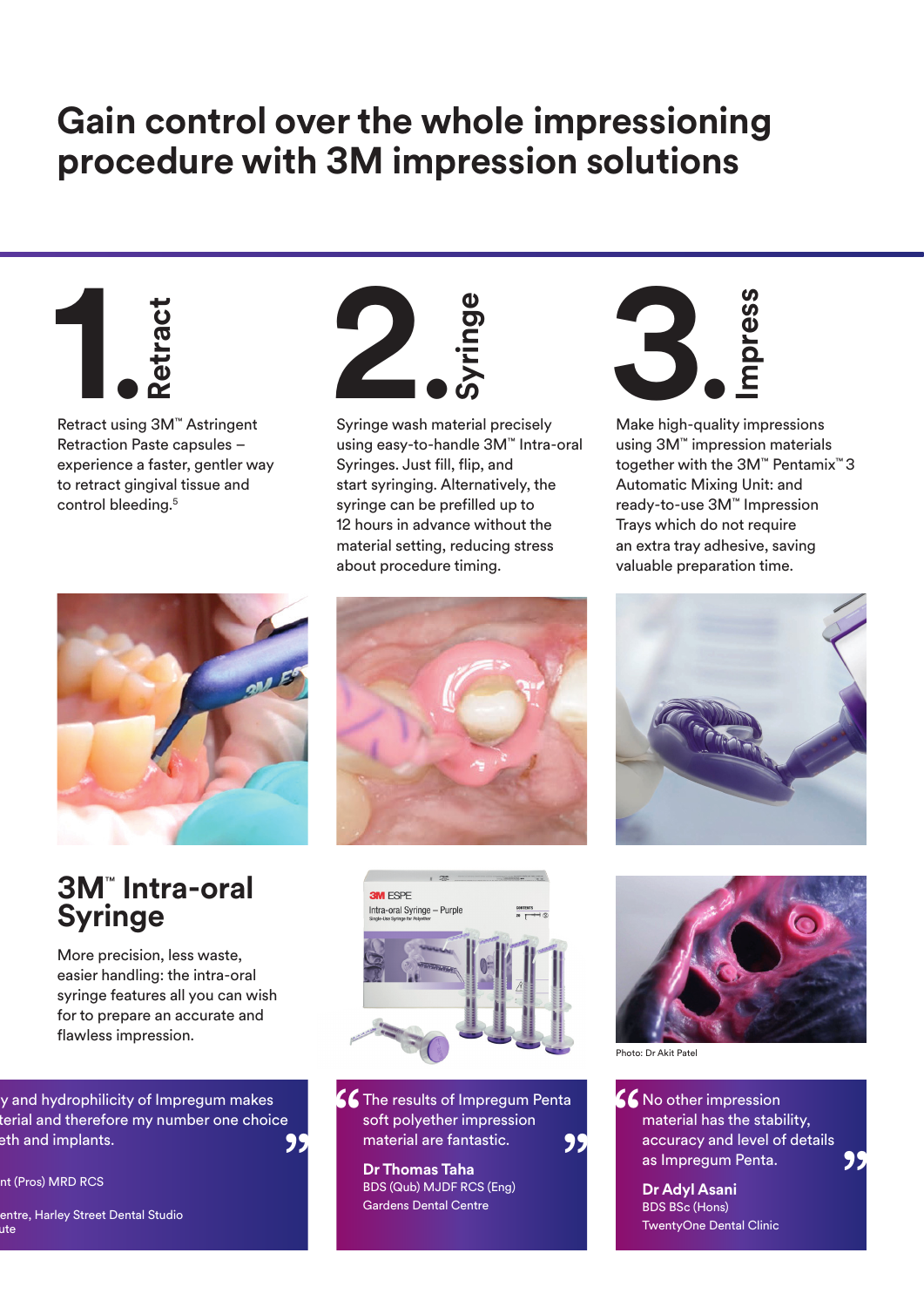### **Gain control over the whole impressioning procedure with 3M impression solutions**



Retract using 3M™ Astringent Retraction Paste capsules – experience a faster, gentler way to retract gingival tissue and



### **3M**™  **Intra-oral Syringe**

More precision, less waste, easier handling: the intra-oral syringe features all you can wish for to prepare an accurate and flawless impression.

y and hydrophilicity of Impregum makes terial and therefore my number one choice eth and implants.

nt (Pros) MRD RCS





Syringe wash material precisely using easy-to-handle 3M™ Intra-oral Syringes. Just fill, flip, and start syringing. Alternatively, the syringe can be prefilled up to 12 hours in advance without the material setting, reducing stress about procedure timing.



Make high-quality impressions using 3M™ impression materials together with the 3M™ Pentamix™ 3 Automatic Mixing Unit: and ready-to-use 3M™ Impression Trays which do not require an extra tray adhesive, saving valuable preparation time.







CC The results of Impregum Penta<br>
soft polyether impression<br>
material are fantastic.<br>
99 soft polyether impression material are fantastic.

**Dr Thomas Taha** BDS (Qub) MJDF RCS (Eng) Gardens Dental Centre



Photo: Dr Akit Patel

K No other impression material has the stability, accuracy and level of details as Impregum Penta. 99 material are fantastic.<br>
Dr Thomas Taha<br>
BDS (Qub) MJDF RCS (Eng)<br>
Gardens Dental Centre<br>
BDS BS BS (Hons)<br>
BDS BS BS (Hons)

**Dr Adyl Asani** BDS BSc (Hons) TwentyOne Dental Clinic